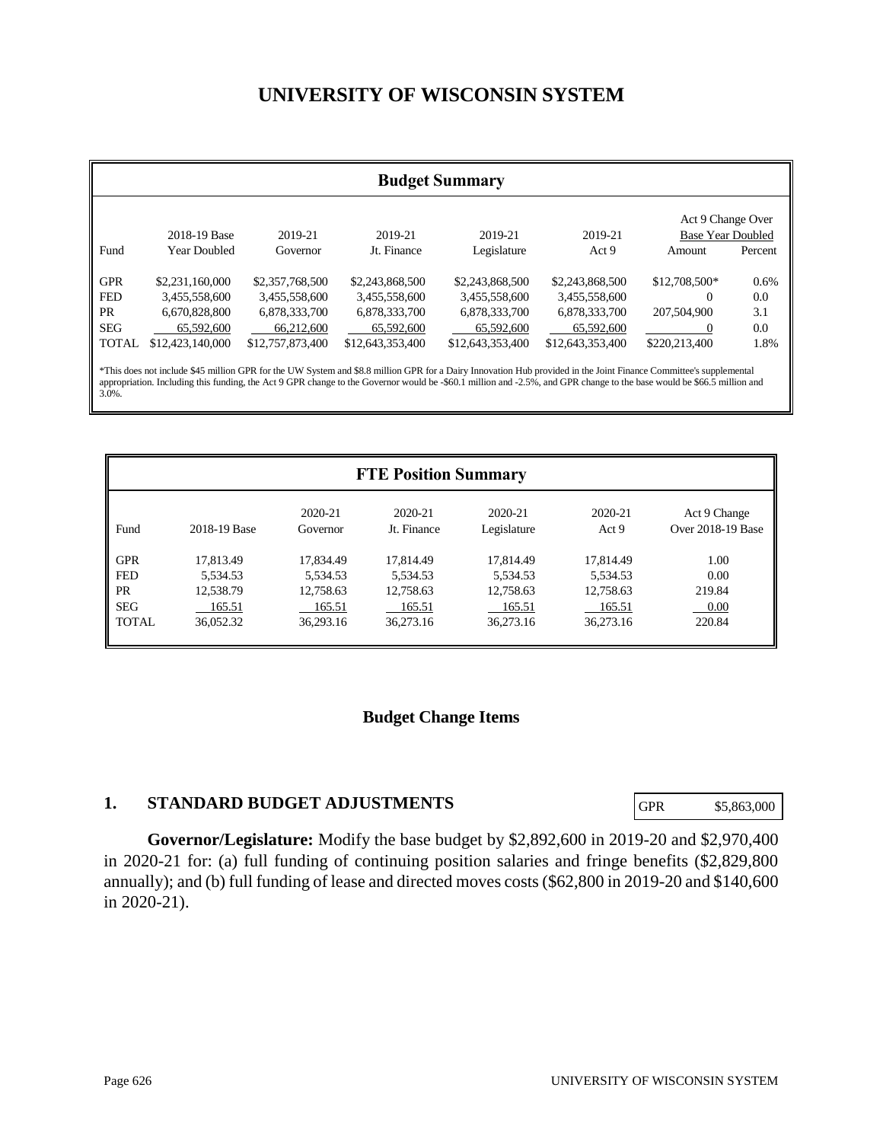# **UNIVERSITY OF WISCONSIN SYSTEM**

|              | <b>Budget Summary</b> |                  |                  |                                                                                                                                                                                                                                                                                                                                             |                  |                                               |         |
|--------------|-----------------------|------------------|------------------|---------------------------------------------------------------------------------------------------------------------------------------------------------------------------------------------------------------------------------------------------------------------------------------------------------------------------------------------|------------------|-----------------------------------------------|---------|
|              | 2018-19 Base          | 2019-21          | 2019-21          | 2019-21                                                                                                                                                                                                                                                                                                                                     | 2019-21          | Act 9 Change Over<br><b>Base Year Doubled</b> |         |
| Fund         | <b>Year Doubled</b>   | Governor         | Jt. Finance      | Legislature                                                                                                                                                                                                                                                                                                                                 | Act 9            | Amount                                        | Percent |
| <b>GPR</b>   | \$2,231,160,000       | \$2,357,768,500  | \$2,243,868,500  | \$2,243,868,500                                                                                                                                                                                                                                                                                                                             | \$2,243,868,500  | $$12,708,500*$                                | 0.6%    |
| <b>FED</b>   | 3,455,558,600         | 3,455,558,600    | 3,455,558,600    | 3,455,558,600                                                                                                                                                                                                                                                                                                                               | 3,455,558,600    | 0                                             | 0.0     |
| <b>PR</b>    | 6,670,828,800         | 6,878,333,700    | 6,878,333,700    | 6,878,333,700                                                                                                                                                                                                                                                                                                                               | 6,878,333,700    | 207,504,900                                   | 3.1     |
| <b>SEG</b>   | 65,592,600            | 66,212,600       | 65,592,600       | 65,592,600                                                                                                                                                                                                                                                                                                                                  | 65,592,600       |                                               | 0.0     |
| <b>TOTAL</b> | \$12,423,140,000      | \$12,757,873,400 | \$12,643,353,400 | \$12,643,353,400                                                                                                                                                                                                                                                                                                                            | \$12,643,353,400 | \$220,213,400                                 | 1.8%    |
| 3.0%.        |                       |                  |                  | *This does not include \$45 million GPR for the UW System and \$8.8 million GPR for a Dairy Innovation Hub provided in the Joint Finance Committee's supplemental<br>appropriation. Including this funding, the Act 9 GPR change to the Governor would be -\$60.1 million and -2.5%, and GPR change to the base would be \$66.5 million and |                  |                                               |         |

|              | <b>FTE Position Summary</b> |                     |                        |                        |                  |                                   |  |
|--------------|-----------------------------|---------------------|------------------------|------------------------|------------------|-----------------------------------|--|
| Fund         | 2018-19 Base                | 2020-21<br>Governor | 2020-21<br>Jt. Finance | 2020-21<br>Legislature | 2020-21<br>Act 9 | Act 9 Change<br>Over 2018-19 Base |  |
| <b>GPR</b>   | 17.813.49                   | 17,834.49           | 17.814.49              | 17.814.49              | 17.814.49        | 1.00                              |  |
| <b>FED</b>   | 5.534.53                    | 5.534.53            | 5,534.53               | 5,534.53               | 5,534.53         | 0.00                              |  |
| <b>PR</b>    | 12.538.79                   | 12,758.63           | 12,758.63              | 12,758.63              | 12,758.63        | 219.84                            |  |
| <b>SEG</b>   | 165.51                      | 165.51              | 165.51                 | 165.51                 | 165.51           | 0.00                              |  |
| <b>TOTAL</b> | 36,052.32                   | 36,293.16           | 36,273.16              | 36,273.16              | 36,273.16        | 220.84                            |  |

# **Budget Change Items**

# **1. STANDARD BUDGET ADJUSTMENTS**

GPR \$5,863,000

**Governor/Legislature:** Modify the base budget by \$2,892,600 in 2019-20 and \$2,970,400 in 2020-21 for: (a) full funding of continuing position salaries and fringe benefits (\$2,829,800 annually); and (b) full funding of lease and directed moves costs (\$62,800 in 2019-20 and \$140,600 in 2020-21).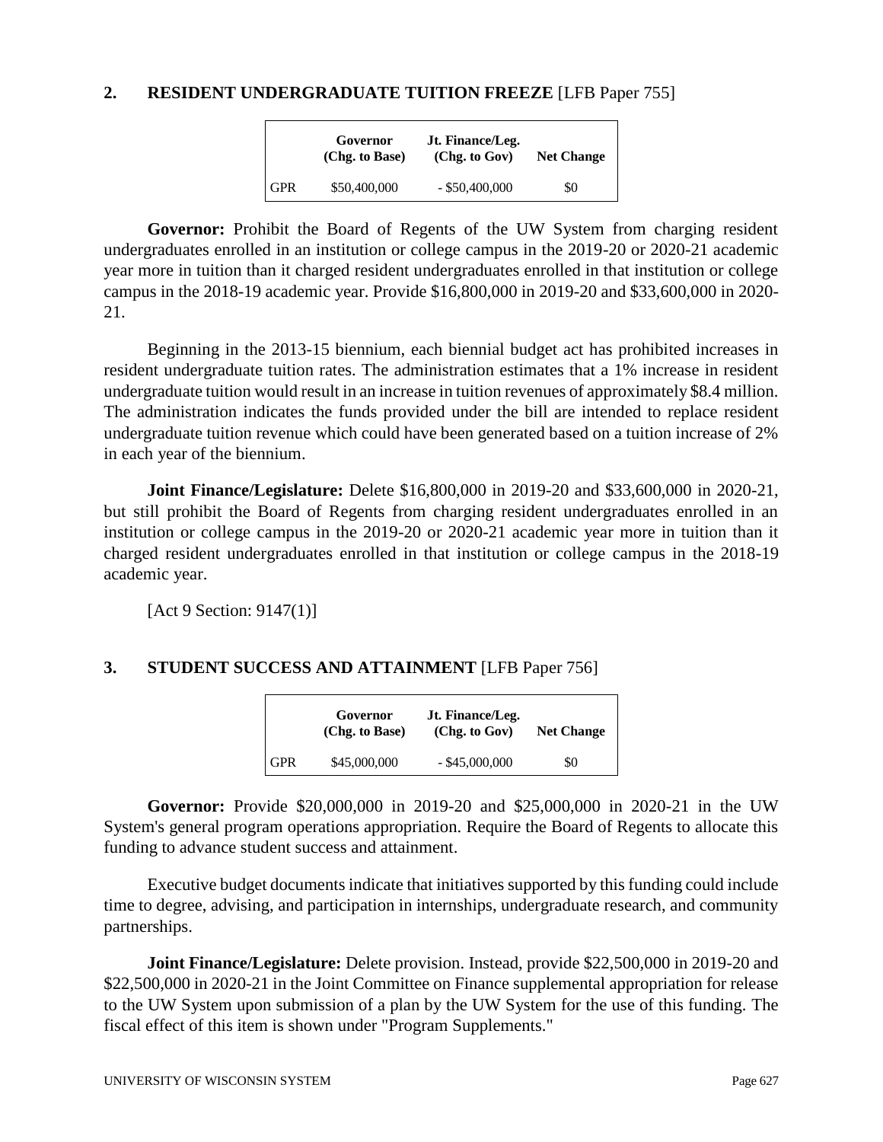## **2. RESIDENT UNDERGRADUATE TUITION FREEZE** [LFB Paper 755]

|            | Governor<br>(Chg. to Base) | Jt. Finance/Leg.<br>(Chg. to Gov) | <b>Net Change</b> |
|------------|----------------------------|-----------------------------------|-------------------|
| <b>GPR</b> | \$50,400,000               | $-$ \$50,400,000                  | \$0               |

**Governor:** Prohibit the Board of Regents of the UW System from charging resident undergraduates enrolled in an institution or college campus in the 2019-20 or 2020-21 academic year more in tuition than it charged resident undergraduates enrolled in that institution or college campus in the 2018-19 academic year. Provide \$16,800,000 in 2019-20 and \$33,600,000 in 2020- 21.

Beginning in the 2013-15 biennium, each biennial budget act has prohibited increases in resident undergraduate tuition rates. The administration estimates that a 1% increase in resident undergraduate tuition would result in an increase in tuition revenues of approximately \$8.4 million. The administration indicates the funds provided under the bill are intended to replace resident undergraduate tuition revenue which could have been generated based on a tuition increase of 2% in each year of the biennium.

**Joint Finance/Legislature:** Delete \$16,800,000 in 2019-20 and \$33,600,000 in 2020-21, but still prohibit the Board of Regents from charging resident undergraduates enrolled in an institution or college campus in the 2019-20 or 2020-21 academic year more in tuition than it charged resident undergraduates enrolled in that institution or college campus in the 2018-19 academic year.

[Act 9 Section: 9147(1)]

# **3. STUDENT SUCCESS AND ATTAINMENT** [LFB Paper 756]

|            | Governor<br>(Chg. to Base) | Jt. Finance/Leg.<br>(Chg. to Gov) | <b>Net Change</b> |
|------------|----------------------------|-----------------------------------|-------------------|
| <b>GPR</b> | \$45,000,000               | $-$ \$45,000,000                  | \$0               |

**Governor:** Provide \$20,000,000 in 2019-20 and \$25,000,000 in 2020-21 in the UW System's general program operations appropriation. Require the Board of Regents to allocate this funding to advance student success and attainment.

Executive budget documents indicate that initiatives supported by this funding could include time to degree, advising, and participation in internships, undergraduate research, and community partnerships.

**Joint Finance/Legislature:** Delete provision. Instead, provide \$22,500,000 in 2019-20 and \$22,500,000 in 2020-21 in the Joint Committee on Finance supplemental appropriation for release to the UW System upon submission of a plan by the UW System for the use of this funding. The fiscal effect of this item is shown under "Program Supplements."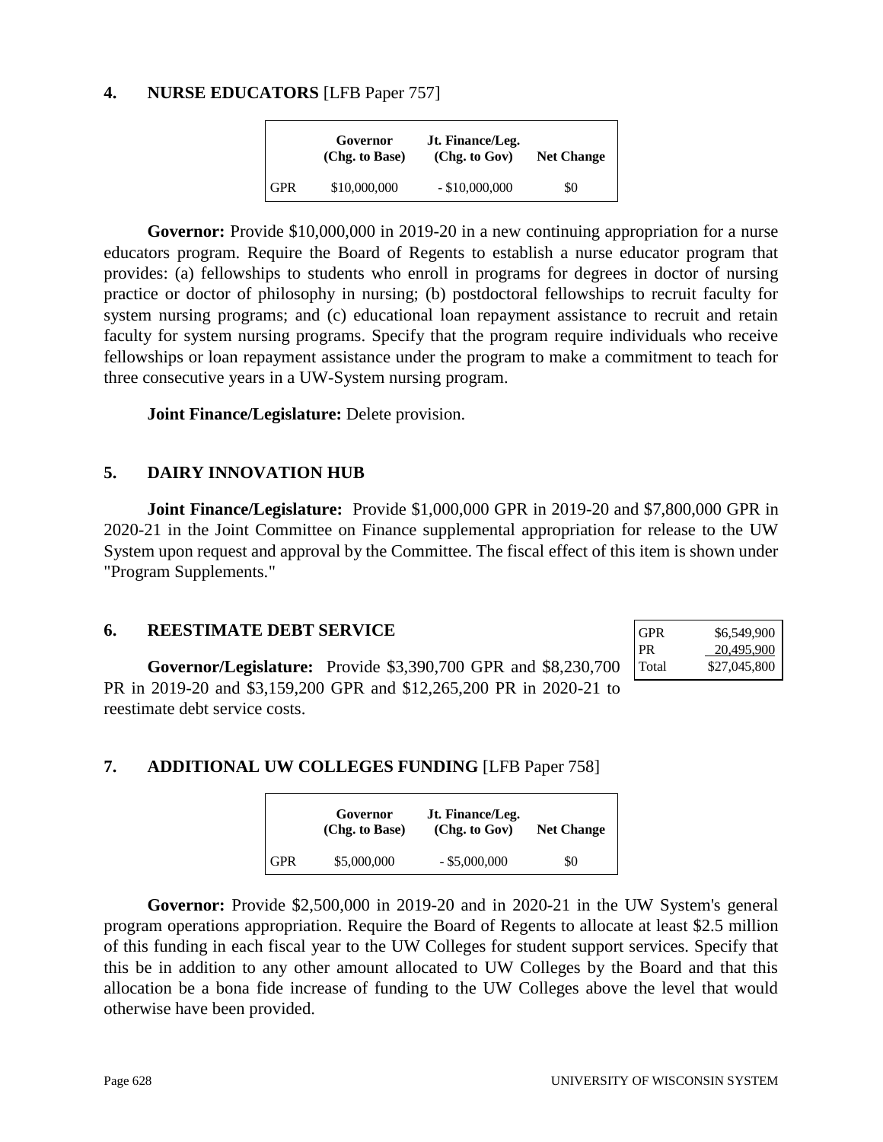# **4. NURSE EDUCATORS** [LFB Paper 757]

|            | Governor<br>(Chg. to Base) | Jt. Finance/Leg.<br>(Chg. to Gov) | <b>Net Change</b> |
|------------|----------------------------|-----------------------------------|-------------------|
| <b>GPR</b> | \$10,000,000               | $-$ \$10,000,000                  | \$0               |

**Governor:** Provide \$10,000,000 in 2019-20 in a new continuing appropriation for a nurse educators program. Require the Board of Regents to establish a nurse educator program that provides: (a) fellowships to students who enroll in programs for degrees in doctor of nursing practice or doctor of philosophy in nursing; (b) postdoctoral fellowships to recruit faculty for system nursing programs; and (c) educational loan repayment assistance to recruit and retain faculty for system nursing programs. Specify that the program require individuals who receive fellowships or loan repayment assistance under the program to make a commitment to teach for three consecutive years in a UW-System nursing program.

**Joint Finance/Legislature:** Delete provision.

# **5. DAIRY INNOVATION HUB**

**Joint Finance/Legislature:** Provide \$1,000,000 GPR in 2019-20 and \$7,800,000 GPR in 2020-21 in the Joint Committee on Finance supplemental appropriation for release to the UW System upon request and approval by the Committee. The fiscal effect of this item is shown under "Program Supplements."

#### **6. REESTIMATE DEBT SERVICE**

**Governor/Legislature:** Provide \$3,390,700 GPR and \$8,230,700 PR in 2019-20 and \$3,159,200 GPR and \$12,265,200 PR in 2020-21 to reestimate debt service costs.

| <b>GPR</b> | \$6,549,900  |
|------------|--------------|
| <b>PR</b>  | 20,495,900   |
| Total      | \$27,045,800 |

# **7. ADDITIONAL UW COLLEGES FUNDING** [LFB Paper 758]

|            | Governor<br>(Chg. to Base) | Jt. Finance/Leg.<br>(Chg. to Gov) | <b>Net Change</b> |
|------------|----------------------------|-----------------------------------|-------------------|
| <b>GPR</b> | \$5,000,000                | $-$ \$5,000,000                   | \$0               |

**Governor:** Provide \$2,500,000 in 2019-20 and in 2020-21 in the UW System's general program operations appropriation. Require the Board of Regents to allocate at least \$2.5 million of this funding in each fiscal year to the UW Colleges for student support services. Specify that this be in addition to any other amount allocated to UW Colleges by the Board and that this allocation be a bona fide increase of funding to the UW Colleges above the level that would otherwise have been provided.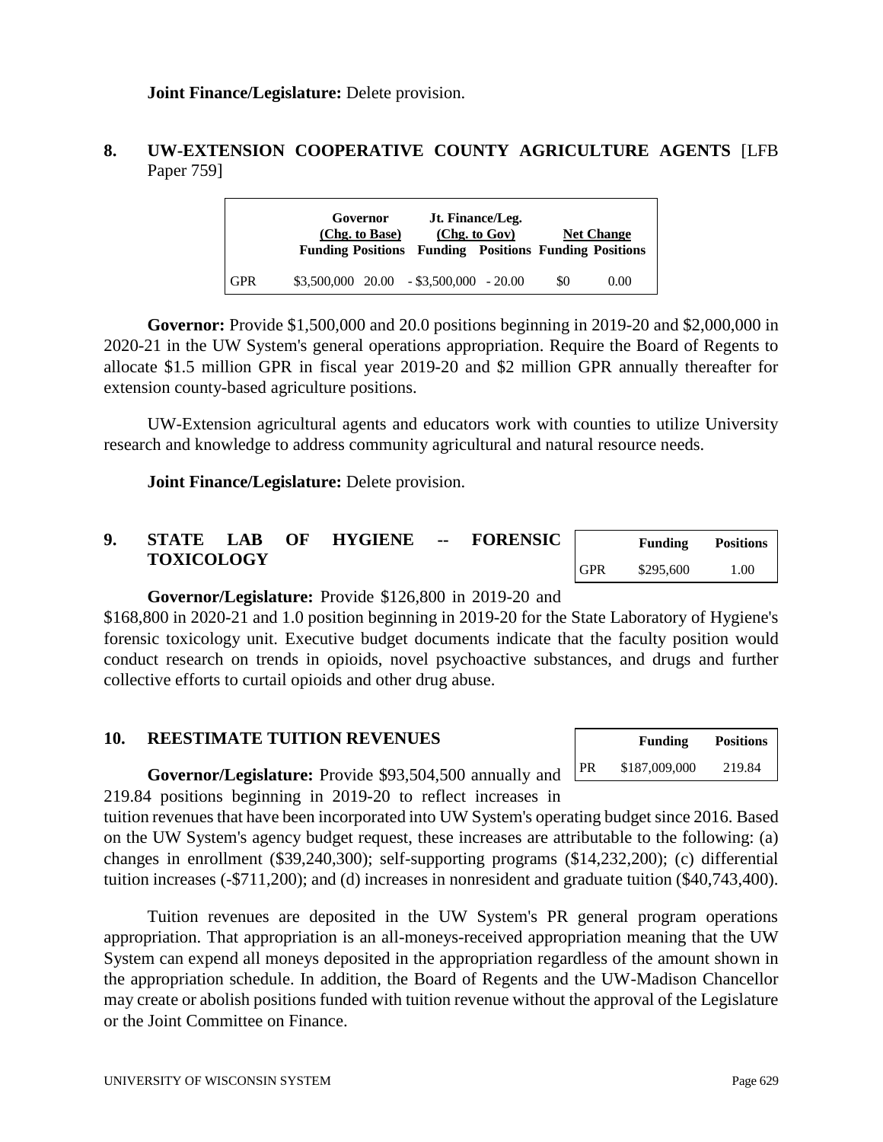**Joint Finance/Legislature:** Delete provision.

# **8. UW-EXTENSION COOPERATIVE COUNTY AGRICULTURE AGENTS** [LFB Paper 759]

|            | Governor<br>(Chg. to Base) | Jt. Finance/Leg.<br>(Chg. to Gov)<br><b>Funding Positions Funding Positions Funding Positions</b> |     | <b>Net Change</b> |
|------------|----------------------------|---------------------------------------------------------------------------------------------------|-----|-------------------|
| <b>GPR</b> |                            | $$3,500,000$ $20.00$ $- $3,500,000$ $- 20.00$                                                     | \$0 | 0.00              |

**Governor:** Provide \$1,500,000 and 20.0 positions beginning in 2019-20 and \$2,000,000 in 2020-21 in the UW System's general operations appropriation. Require the Board of Regents to allocate \$1.5 million GPR in fiscal year 2019-20 and \$2 million GPR annually thereafter for extension county-based agriculture positions.

UW-Extension agricultural agents and educators work with counties to utilize University research and knowledge to address community agricultural and natural resource needs.

**Joint Finance/Legislature:** Delete provision.

#### **9. STATE LAB OF HYGIENE -- FORENSIC TOXICOLOGY Funding Positions** GPR \$295,600 1.00

#### **Governor/Legislature:** Provide \$126,800 in 2019-20 and

\$168,800 in 2020-21 and 1.0 position beginning in 2019-20 for the State Laboratory of Hygiene's forensic toxicology unit. Executive budget documents indicate that the faculty position would conduct research on trends in opioids, novel psychoactive substances, and drugs and further collective efforts to curtail opioids and other drug abuse.

## **10. REESTIMATE TUITION REVENUES**

|           | <b>Funding</b> | <b>Positions</b> |
|-----------|----------------|------------------|
| <b>PR</b> | \$187,009,000  | 219.84           |

**Governor/Legislature:** Provide \$93,504,500 annually and 219.84 positions beginning in 2019-20 to reflect increases in

tuition revenues that have been incorporated into UW System's operating budget since 2016. Based on the UW System's agency budget request, these increases are attributable to the following: (a) changes in enrollment (\$39,240,300); self-supporting programs (\$14,232,200); (c) differential tuition increases (-\$711,200); and (d) increases in nonresident and graduate tuition (\$40,743,400).

Tuition revenues are deposited in the UW System's PR general program operations appropriation. That appropriation is an all-moneys-received appropriation meaning that the UW System can expend all moneys deposited in the appropriation regardless of the amount shown in the appropriation schedule. In addition, the Board of Regents and the UW-Madison Chancellor may create or abolish positions funded with tuition revenue without the approval of the Legislature or the Joint Committee on Finance.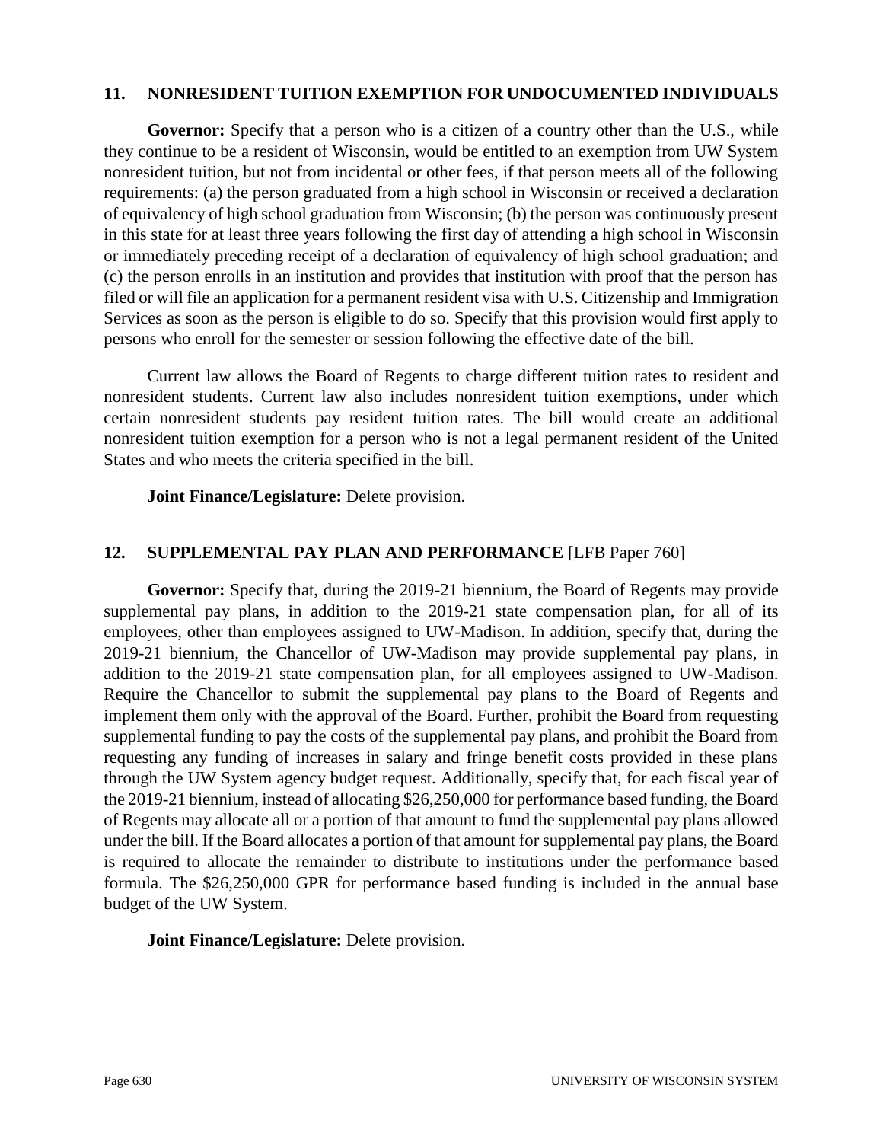#### **11. NONRESIDENT TUITION EXEMPTION FOR UNDOCUMENTED INDIVIDUALS**

Governor: Specify that a person who is a citizen of a country other than the U.S., while they continue to be a resident of Wisconsin, would be entitled to an exemption from UW System nonresident tuition, but not from incidental or other fees, if that person meets all of the following requirements: (a) the person graduated from a high school in Wisconsin or received a declaration of equivalency of high school graduation from Wisconsin; (b) the person was continuously present in this state for at least three years following the first day of attending a high school in Wisconsin or immediately preceding receipt of a declaration of equivalency of high school graduation; and (c) the person enrolls in an institution and provides that institution with proof that the person has filed or will file an application for a permanent resident visa with U.S. Citizenship and Immigration Services as soon as the person is eligible to do so. Specify that this provision would first apply to persons who enroll for the semester or session following the effective date of the bill.

Current law allows the Board of Regents to charge different tuition rates to resident and nonresident students. Current law also includes nonresident tuition exemptions, under which certain nonresident students pay resident tuition rates. The bill would create an additional nonresident tuition exemption for a person who is not a legal permanent resident of the United States and who meets the criteria specified in the bill.

**Joint Finance/Legislature:** Delete provision.

# **12. SUPPLEMENTAL PAY PLAN AND PERFORMANCE** [LFB Paper 760]

**Governor:** Specify that, during the 2019-21 biennium, the Board of Regents may provide supplemental pay plans, in addition to the 2019-21 state compensation plan, for all of its employees, other than employees assigned to UW-Madison. In addition, specify that, during the 2019-21 biennium, the Chancellor of UW-Madison may provide supplemental pay plans, in addition to the 2019-21 state compensation plan, for all employees assigned to UW-Madison. Require the Chancellor to submit the supplemental pay plans to the Board of Regents and implement them only with the approval of the Board. Further, prohibit the Board from requesting supplemental funding to pay the costs of the supplemental pay plans, and prohibit the Board from requesting any funding of increases in salary and fringe benefit costs provided in these plans through the UW System agency budget request. Additionally, specify that, for each fiscal year of the 2019-21 biennium, instead of allocating \$26,250,000 for performance based funding, the Board of Regents may allocate all or a portion of that amount to fund the supplemental pay plans allowed under the bill. If the Board allocates a portion of that amount for supplemental pay plans, the Board is required to allocate the remainder to distribute to institutions under the performance based formula. The \$26,250,000 GPR for performance based funding is included in the annual base budget of the UW System.

**Joint Finance/Legislature:** Delete provision.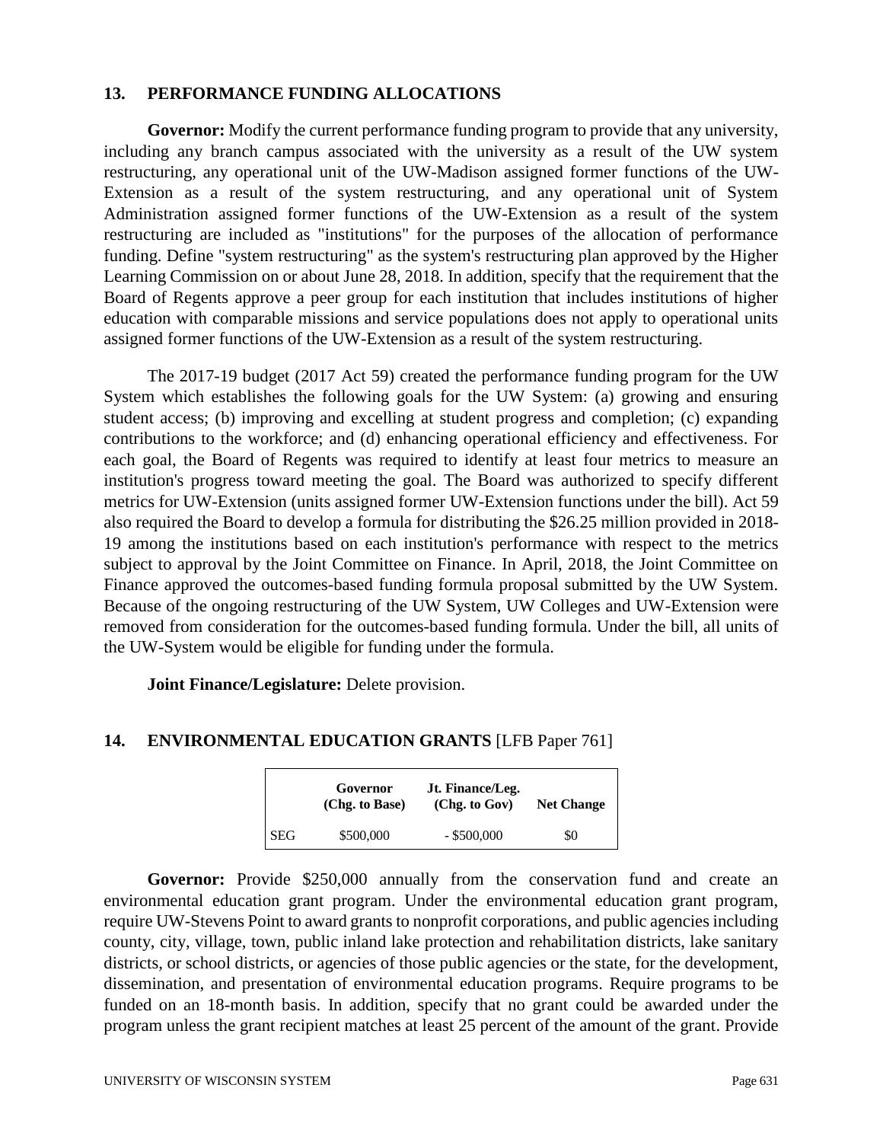#### **13. PERFORMANCE FUNDING ALLOCATIONS**

**Governor:** Modify the current performance funding program to provide that any university, including any branch campus associated with the university as a result of the UW system restructuring, any operational unit of the UW-Madison assigned former functions of the UW-Extension as a result of the system restructuring, and any operational unit of System Administration assigned former functions of the UW-Extension as a result of the system restructuring are included as "institutions" for the purposes of the allocation of performance funding. Define "system restructuring" as the system's restructuring plan approved by the Higher Learning Commission on or about June 28, 2018. In addition, specify that the requirement that the Board of Regents approve a peer group for each institution that includes institutions of higher education with comparable missions and service populations does not apply to operational units assigned former functions of the UW-Extension as a result of the system restructuring.

The 2017-19 budget (2017 Act 59) created the performance funding program for the UW System which establishes the following goals for the UW System: (a) growing and ensuring student access; (b) improving and excelling at student progress and completion; (c) expanding contributions to the workforce; and (d) enhancing operational efficiency and effectiveness. For each goal, the Board of Regents was required to identify at least four metrics to measure an institution's progress toward meeting the goal. The Board was authorized to specify different metrics for UW-Extension (units assigned former UW-Extension functions under the bill). Act 59 also required the Board to develop a formula for distributing the \$26.25 million provided in 2018- 19 among the institutions based on each institution's performance with respect to the metrics subject to approval by the Joint Committee on Finance. In April, 2018, the Joint Committee on Finance approved the outcomes-based funding formula proposal submitted by the UW System. Because of the ongoing restructuring of the UW System, UW Colleges and UW-Extension were removed from consideration for the outcomes-based funding formula. Under the bill, all units of the UW-System would be eligible for funding under the formula.

**Joint Finance/Legislature:** Delete provision.

#### **14. ENVIRONMENTAL EDUCATION GRANTS** [LFB Paper 761]

|            | Governor<br>(Chg. to Base) | Jt. Finance/Leg.<br>(Chg. to Gov) | <b>Net Change</b> |
|------------|----------------------------|-----------------------------------|-------------------|
| <b>SEG</b> | \$500,000                  | $-$ \$500,000                     | \$0               |

Governor: Provide \$250,000 annually from the conservation fund and create an environmental education grant program. Under the environmental education grant program, require UW-Stevens Point to award grants to nonprofit corporations, and public agencies including county, city, village, town, public inland lake protection and rehabilitation districts, lake sanitary districts, or school districts, or agencies of those public agencies or the state, for the development, dissemination, and presentation of environmental education programs. Require programs to be funded on an 18-month basis. In addition, specify that no grant could be awarded under the program unless the grant recipient matches at least 25 percent of the amount of the grant. Provide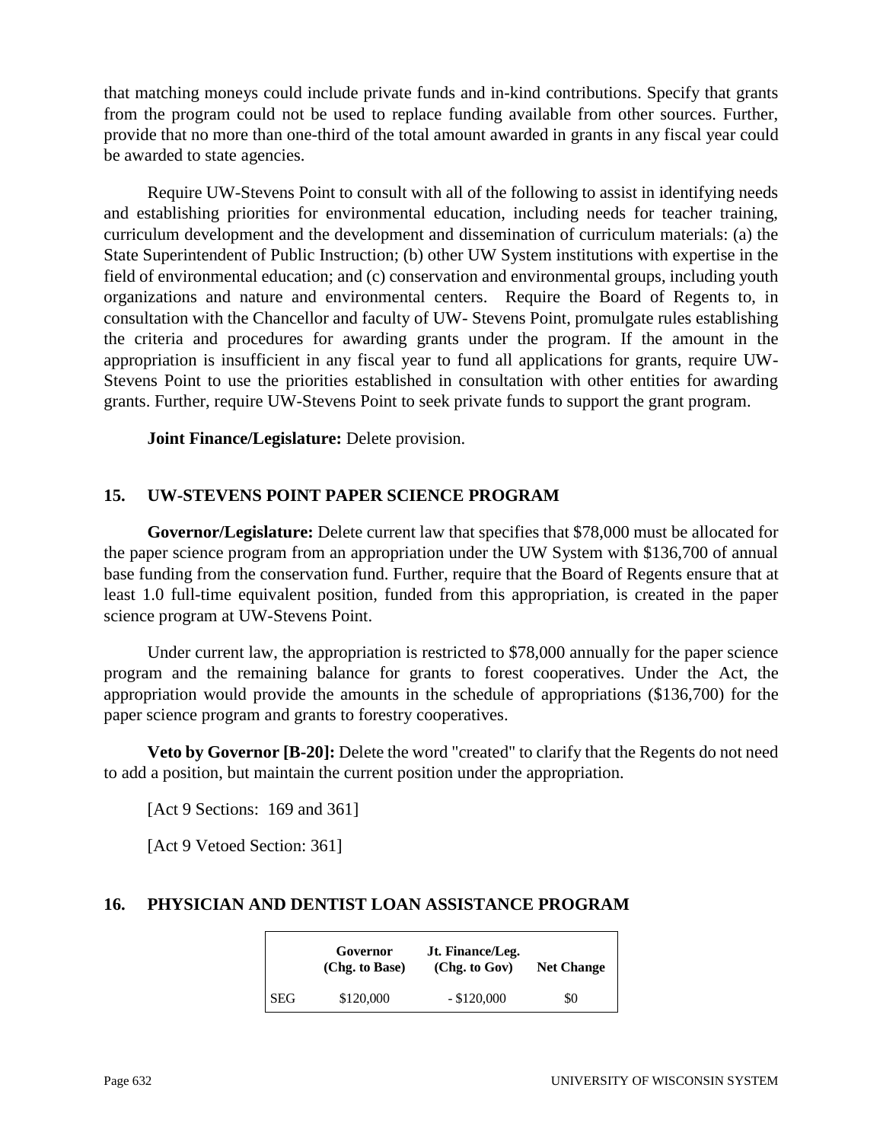that matching moneys could include private funds and in-kind contributions. Specify that grants from the program could not be used to replace funding available from other sources. Further, provide that no more than one-third of the total amount awarded in grants in any fiscal year could be awarded to state agencies.

Require UW-Stevens Point to consult with all of the following to assist in identifying needs and establishing priorities for environmental education, including needs for teacher training, curriculum development and the development and dissemination of curriculum materials: (a) the State Superintendent of Public Instruction; (b) other UW System institutions with expertise in the field of environmental education; and (c) conservation and environmental groups, including youth organizations and nature and environmental centers. Require the Board of Regents to, in consultation with the Chancellor and faculty of UW- Stevens Point, promulgate rules establishing the criteria and procedures for awarding grants under the program. If the amount in the appropriation is insufficient in any fiscal year to fund all applications for grants, require UW-Stevens Point to use the priorities established in consultation with other entities for awarding grants. Further, require UW-Stevens Point to seek private funds to support the grant program.

**Joint Finance/Legislature:** Delete provision.

# **15. UW-STEVENS POINT PAPER SCIENCE PROGRAM**

**Governor/Legislature:** Delete current law that specifies that \$78,000 must be allocated for the paper science program from an appropriation under the UW System with \$136,700 of annual base funding from the conservation fund. Further, require that the Board of Regents ensure that at least 1.0 full-time equivalent position, funded from this appropriation, is created in the paper science program at UW-Stevens Point.

Under current law, the appropriation is restricted to \$78,000 annually for the paper science program and the remaining balance for grants to forest cooperatives. Under the Act, the appropriation would provide the amounts in the schedule of appropriations (\$136,700) for the paper science program and grants to forestry cooperatives.

**Veto by Governor [B-20]:** Delete the word "created" to clarify that the Regents do not need to add a position, but maintain the current position under the appropriation.

[Act 9 Sections: 169 and 361]

[Act 9 Vetoed Section: 361]

### **16. PHYSICIAN AND DENTIST LOAN ASSISTANCE PROGRAM**

| Governor<br>(Chg. to Base) |           | Jt. Finance/Leg.<br>(Chg. to Gov) | <b>Net Change</b> |  |
|----------------------------|-----------|-----------------------------------|-------------------|--|
| <b>SEG</b>                 | \$120,000 | $-$ \$120,000                     | \$0               |  |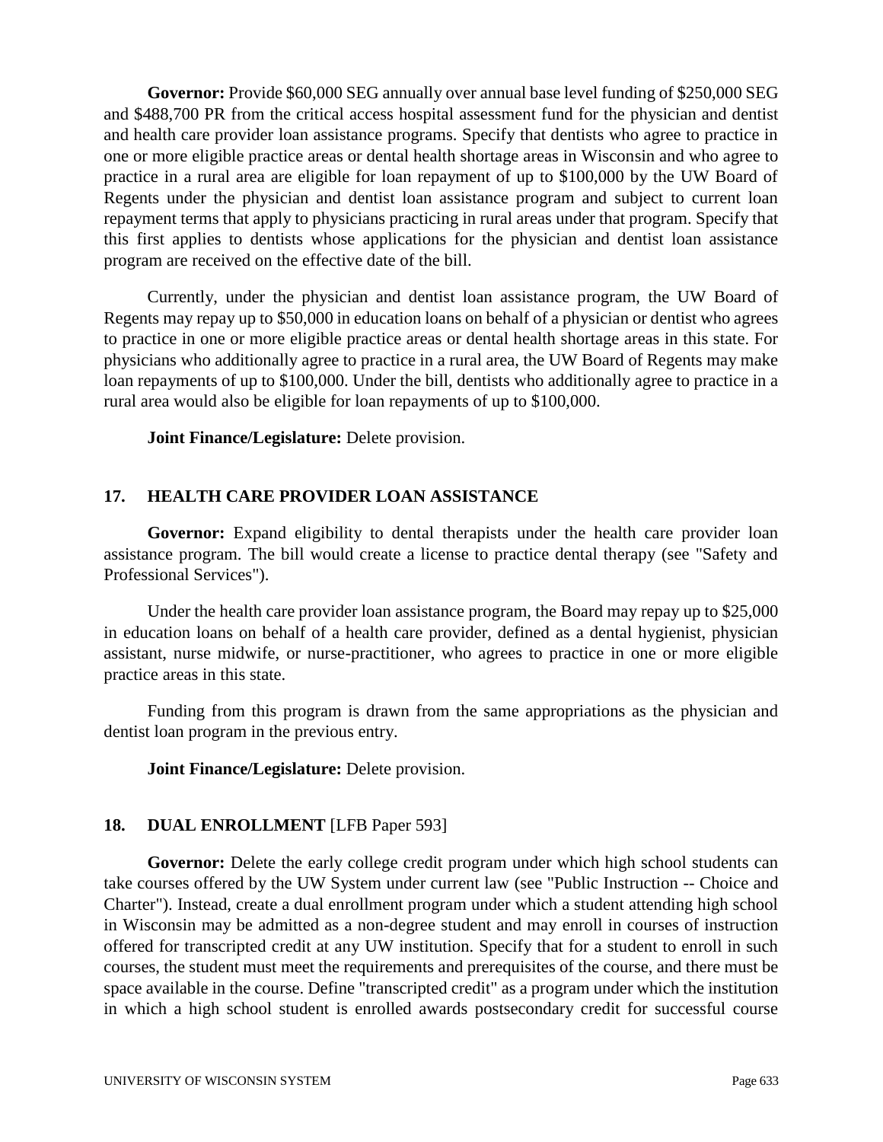**Governor:** Provide \$60,000 SEG annually over annual base level funding of \$250,000 SEG and \$488,700 PR from the critical access hospital assessment fund for the physician and dentist and health care provider loan assistance programs. Specify that dentists who agree to practice in one or more eligible practice areas or dental health shortage areas in Wisconsin and who agree to practice in a rural area are eligible for loan repayment of up to \$100,000 by the UW Board of Regents under the physician and dentist loan assistance program and subject to current loan repayment terms that apply to physicians practicing in rural areas under that program. Specify that this first applies to dentists whose applications for the physician and dentist loan assistance program are received on the effective date of the bill.

Currently, under the physician and dentist loan assistance program, the UW Board of Regents may repay up to \$50,000 in education loans on behalf of a physician or dentist who agrees to practice in one or more eligible practice areas or dental health shortage areas in this state. For physicians who additionally agree to practice in a rural area, the UW Board of Regents may make loan repayments of up to \$100,000. Under the bill, dentists who additionally agree to practice in a rural area would also be eligible for loan repayments of up to \$100,000.

**Joint Finance/Legislature:** Delete provision.

# **17. HEALTH CARE PROVIDER LOAN ASSISTANCE**

**Governor:** Expand eligibility to dental therapists under the health care provider loan assistance program. The bill would create a license to practice dental therapy (see "Safety and Professional Services").

Under the health care provider loan assistance program, the Board may repay up to \$25,000 in education loans on behalf of a health care provider, defined as a dental hygienist, physician assistant, nurse midwife, or nurse-practitioner, who agrees to practice in one or more eligible practice areas in this state.

Funding from this program is drawn from the same appropriations as the physician and dentist loan program in the previous entry.

**Joint Finance/Legislature:** Delete provision.

# **18. DUAL ENROLLMENT** [LFB Paper 593]

Governor: Delete the early college credit program under which high school students can take courses offered by the UW System under current law (see "Public Instruction -- Choice and Charter"). Instead, create a dual enrollment program under which a student attending high school in Wisconsin may be admitted as a non-degree student and may enroll in courses of instruction offered for transcripted credit at any UW institution. Specify that for a student to enroll in such courses, the student must meet the requirements and prerequisites of the course, and there must be space available in the course. Define "transcripted credit" as a program under which the institution in which a high school student is enrolled awards postsecondary credit for successful course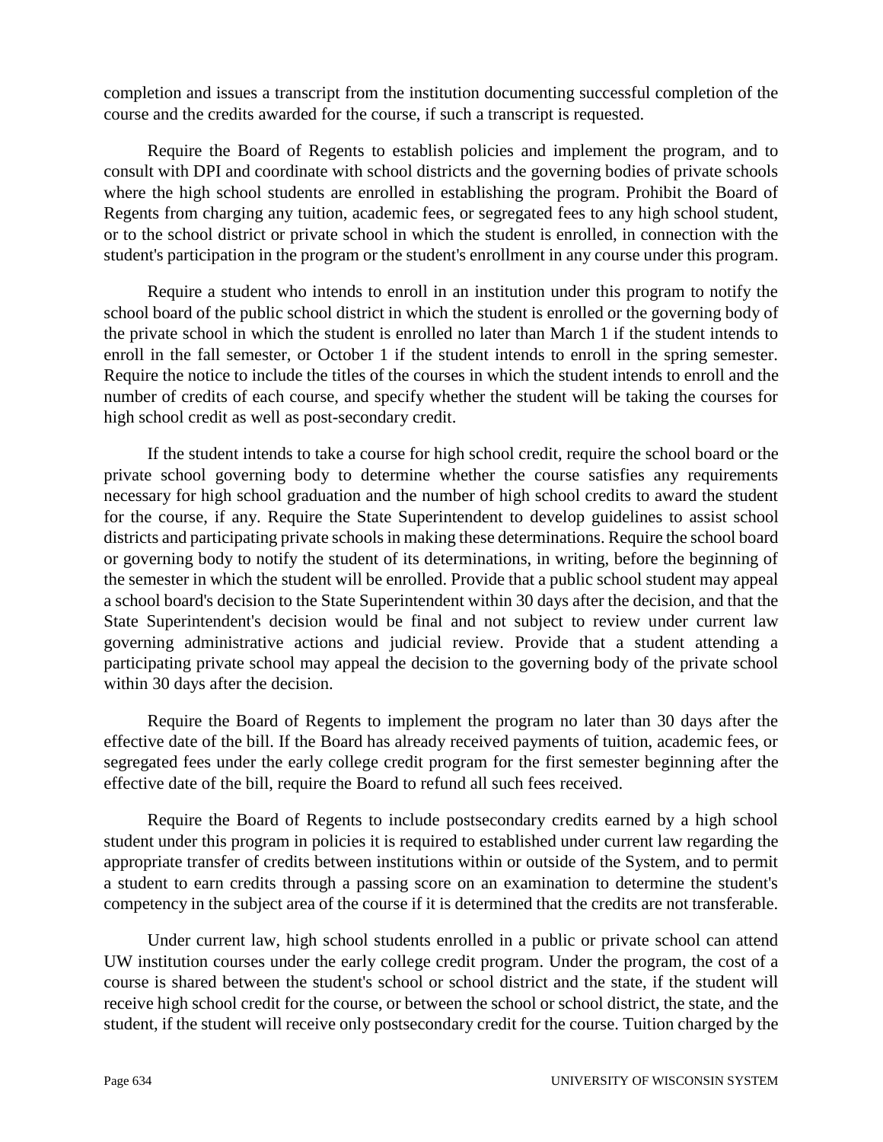completion and issues a transcript from the institution documenting successful completion of the course and the credits awarded for the course, if such a transcript is requested.

Require the Board of Regents to establish policies and implement the program, and to consult with DPI and coordinate with school districts and the governing bodies of private schools where the high school students are enrolled in establishing the program. Prohibit the Board of Regents from charging any tuition, academic fees, or segregated fees to any high school student, or to the school district or private school in which the student is enrolled, in connection with the student's participation in the program or the student's enrollment in any course under this program.

Require a student who intends to enroll in an institution under this program to notify the school board of the public school district in which the student is enrolled or the governing body of the private school in which the student is enrolled no later than March 1 if the student intends to enroll in the fall semester, or October 1 if the student intends to enroll in the spring semester. Require the notice to include the titles of the courses in which the student intends to enroll and the number of credits of each course, and specify whether the student will be taking the courses for high school credit as well as post-secondary credit.

If the student intends to take a course for high school credit, require the school board or the private school governing body to determine whether the course satisfies any requirements necessary for high school graduation and the number of high school credits to award the student for the course, if any. Require the State Superintendent to develop guidelines to assist school districts and participating private schools in making these determinations. Require the school board or governing body to notify the student of its determinations, in writing, before the beginning of the semester in which the student will be enrolled. Provide that a public school student may appeal a school board's decision to the State Superintendent within 30 days after the decision, and that the State Superintendent's decision would be final and not subject to review under current law governing administrative actions and judicial review. Provide that a student attending a participating private school may appeal the decision to the governing body of the private school within 30 days after the decision.

Require the Board of Regents to implement the program no later than 30 days after the effective date of the bill. If the Board has already received payments of tuition, academic fees, or segregated fees under the early college credit program for the first semester beginning after the effective date of the bill, require the Board to refund all such fees received.

Require the Board of Regents to include postsecondary credits earned by a high school student under this program in policies it is required to established under current law regarding the appropriate transfer of credits between institutions within or outside of the System, and to permit a student to earn credits through a passing score on an examination to determine the student's competency in the subject area of the course if it is determined that the credits are not transferable.

Under current law, high school students enrolled in a public or private school can attend UW institution courses under the early college credit program. Under the program, the cost of a course is shared between the student's school or school district and the state, if the student will receive high school credit for the course, or between the school or school district, the state, and the student, if the student will receive only postsecondary credit for the course. Tuition charged by the